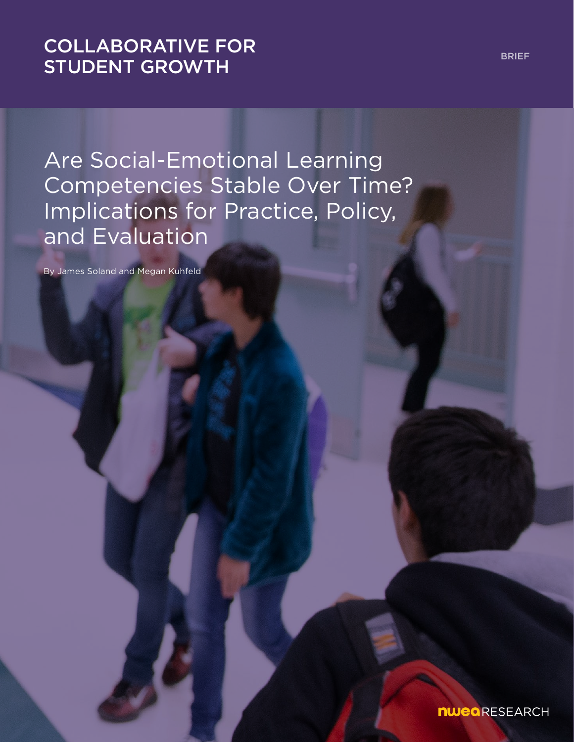# [COLLABORATIVE FOR](https://www.nwea.org/research/collaborative-for-student-growth/)  STUDENT GROWTH

Are Social-Emotional Learning Competencies Stable Over Time? Implications for Practice, Policy, and Evaluation

By James Soland and Megan Kuhfeld

nweaRESEARCH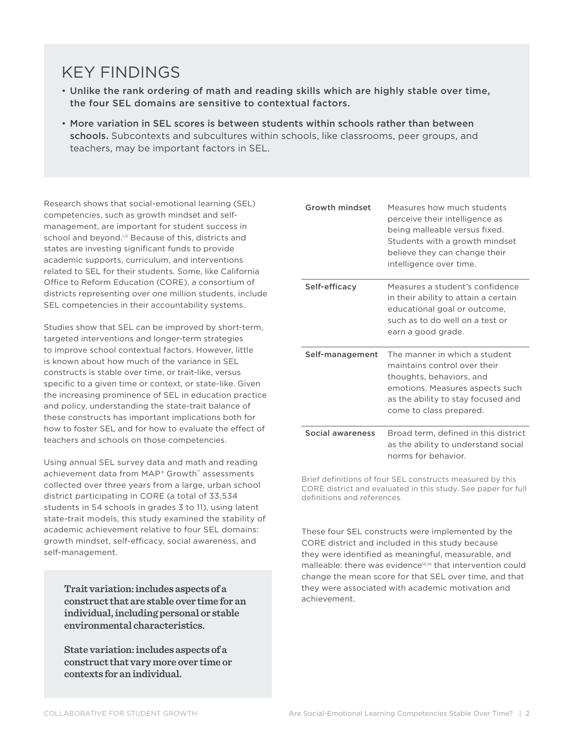# KEY FINDINGS

- Unlike the rank ordering of math and reading skills which are highly stable over time, the four SEL domains are sensitive to contextual factors.
- More variation in SEL scores is between students within schools rather than between schools. Subcontexts and subcultures within schools, like classrooms, peer groups, and teachers, may be important factors in SEL.

Research shows that social-emotional learning (SEL) competencies, such as growth mindset and selfmanagement, are important for student success in school and beyond.<sup>i,ii</sup> Because of this, districts and states are investing significant funds to provide academic supports, curriculum, and interventions related to SEL for their students. Some, like California Office to Reform Education (CORE), a consortium of districts representing over one million students, include SEL competencies in their accountability systems.

Studies show that SEL can be improved by short-term, targeted interventions and longer-term strategies to improve school contextual factors. However, little is known about how much of the variance in SEL constructs is stable over time, or trait-like, versus specific to a given time or context, or state-like. Given the increasing prominence of SEL in education practice and policy, understanding the state-trait balance of these constructs has important implications both for how to foster SEL and for how to evaluate the effect of teachers and schools on those competencies.

Using annual SEL survey data and math and reading achievement data from MAP® Growth™ assessments collected over three years from a large, urban school district participating in CORE (a total of 33,534 students in 54 schools in grades 3 to 11), using latent state-trait models, this study examined the stability of academic achievement relative to four SEL domains: growth mindset, self-efficacy, social awareness, and self-management.

**Trait variation: includes aspects of a construct that are stable over time for an individual, including personal or stable environmental characteristics.** 

**State variation: includes aspects of a construct that vary more over time or contexts for an individual.**

| Growth mindset   | Measures how much students<br>perceive their intelligence as<br>being malleable versus fixed.<br>Students with a growth mindset<br>believe they can change their<br>intelligence over time.   |
|------------------|-----------------------------------------------------------------------------------------------------------------------------------------------------------------------------------------------|
| Self-efficacy    | Measures a student's confidence<br>in their ability to attain a certain<br>educational goal or outcome,<br>such as to do well on a test or<br>earn a good grade.                              |
| Self-management  | The manner in which a student<br>maintains control over their<br>thoughts, behaviors, and<br>emotions. Measures aspects such<br>as the ability to stay focused and<br>come to class prepared. |
| Social awareness | Broad term, defined in this district<br>as the ability to understand social<br>norms for behavior.                                                                                            |

Brief definitions of four SEL constructs measured by this CORE district and evaluated in this study. See paper for full definitions and references.

These four SEL constructs were implemented by the CORE district and included in this study because they were identified as meaningful, measurable, and malleable: there was evidenceiii,iv that intervention could change the mean score for that SEL over time, and that they were associated with academic motivation and achievement.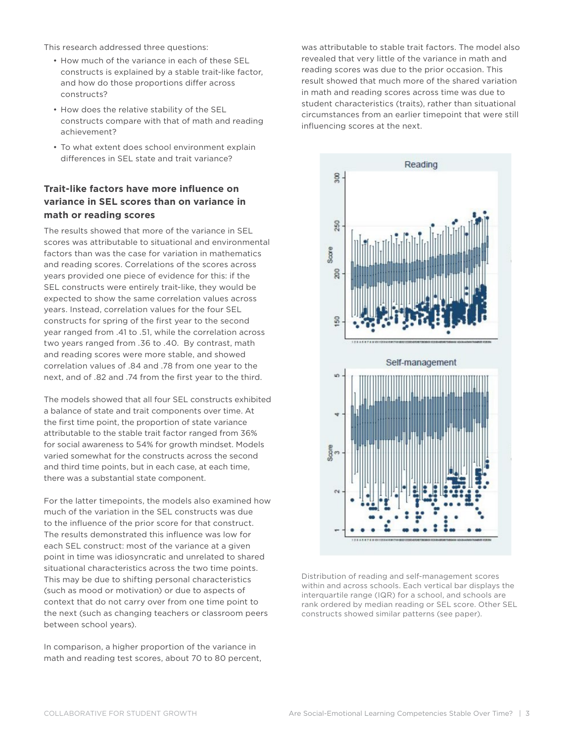This research addressed three questions:

- How much of the variance in each of these SEL constructs is explained by a stable trait-like factor, and how do those proportions differ across constructs?
- How does the relative stability of the SEL constructs compare with that of math and reading achievement?
- To what extent does school environment explain differences in SEL state and trait variance?

### **Trait-like factors have more influence on variance in SEL scores than on variance in math or reading scores**

The results showed that more of the variance in SEL scores was attributable to situational and environmental factors than was the case for variation in mathematics and reading scores. Correlations of the scores across years provided one piece of evidence for this: if the SEL constructs were entirely trait-like, they would be expected to show the same correlation values across years. Instead, correlation values for the four SEL constructs for spring of the first year to the second year ranged from .41 to .51, while the correlation across two years ranged from .36 to .40. By contrast, math and reading scores were more stable, and showed correlation values of .84 and .78 from one year to the next, and of .82 and .74 from the first year to the third.

The models showed that all four SEL constructs exhibited a balance of state and trait components over time. At the first time point, the proportion of state variance attributable to the stable trait factor ranged from 36% for social awareness to 54% for growth mindset. Models varied somewhat for the constructs across the second and third time points, but in each case, at each time, there was a substantial state component.

For the latter timepoints, the models also examined how much of the variation in the SEL constructs was due to the influence of the prior score for that construct. The results demonstrated this influence was low for each SEL construct: most of the variance at a given point in time was idiosyncratic and unrelated to shared situational characteristics across the two time points. This may be due to shifting personal characteristics (such as mood or motivation) or due to aspects of context that do not carry over from one time point to the next (such as changing teachers or classroom peers between school years).

In comparison, a higher proportion of the variance in math and reading test scores, about 70 to 80 percent, was attributable to stable trait factors. The model also revealed that very little of the variance in math and reading scores was due to the prior occasion. This result showed that much more of the shared variation in math and reading scores across time was due to student characteristics (traits), rather than situational circumstances from an earlier timepoint that were still influencing scores at the next.



Distribution of reading and self-management scores within and across schools. Each vertical bar displays the interquartile range (IQR) for a school, and schools are rank ordered by median reading or SEL score. Other SEL constructs showed similar patterns (see paper).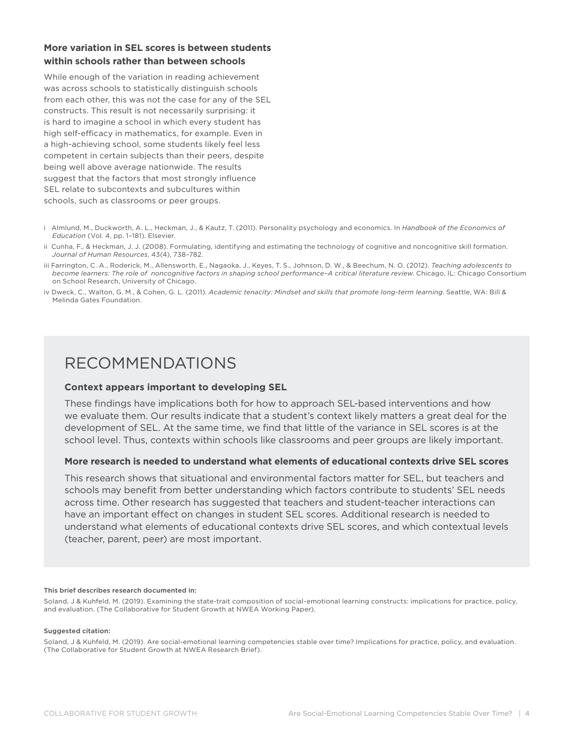### **More variation in SEL scores is between students within schools rather than between schools**

While enough of the variation in reading achievement was across schools to statistically distinguish schools from each other, this was not the case for any of the SEL constructs. This result is not necessarily surprising: it is hard to imagine a school in which every student has high self-efficacy in mathematics, for example. Even in a high-achieving school, some students likely feel less competent in certain subjects than their peers, despite being well above average nationwide. The results suggest that the factors that most strongly influence SEL relate to subcontexts and subcultures within schools, such as classrooms or peer groups.

- i Almlund, M., Duckworth, A. L., Heckman, J., & Kautz, T. (2011). Personality psychology and economics. In *Handbook of the Economics of Education* (Vol. 4, pp. 1–181). Elsevier.
- ii Cunha, F., & Heckman, J. J. (2008). Formulating, identifying and estimating the technology of cognitive and noncognitive skill formation. *Journal of Human Resources*, 43(4), 738–782.
- iii Farrington, C. A., Roderick, M., Allensworth, E., Nagaoka, J., Keyes, T. S., Johnson, D. W., & Beechum, N. O. (2012). *Teaching adolescents to become learners: The role of noncognitive factors in shaping school performance–A critical literature review*. Chicago, IL: Chicago Consortium on School Research, University of Chicago.
- iv Dweck, C., Walton, G. M., & Cohen, G. L. (2011). *Academic tenacity: Mindset and skills that promote long-term learning*. Seattle, WA: Bill & Melinda Gates Foundation.

## RECOMMENDATIONS

### **Context appears important to developing SEL**

These findings have implications both for how to approach SEL-based interventions and how we evaluate them. Our results indicate that a student's context likely matters a great deal for the development of SEL. At the same time, we find that little of the variance in SEL scores is at the school level. Thus, contexts within schools like classrooms and peer groups are likely important.

### **More research is needed to understand what elements of educational contexts drive SEL scores**

This research shows that situational and environmental factors matter for SEL, but teachers and schools may benefit from better understanding which factors contribute to students' SEL needs across time. Other research has suggested that teachers and student-teacher interactions can have an important effect on changes in student SEL scores. Additional research is needed to understand what elements of educational contexts drive SEL scores, and which contextual levels (teacher, parent, peer) are most important.

#### This brief describes research documented in:

Soland, J & Kuhfeld, M. (2019). Examining the state-trait composition of social-emotional learning constructs: implications for practice, policy, and evaluation. (The Collaborative for Student Growth at NWEA Working Paper).

#### Suggested citation:

Soland, J & Kuhfeld, M. (2019). Are social-emotional learning competencies stable over time? Implications for practice, policy, and evaluation. (The Collaborative for Student Growth at NWEA Research Brief).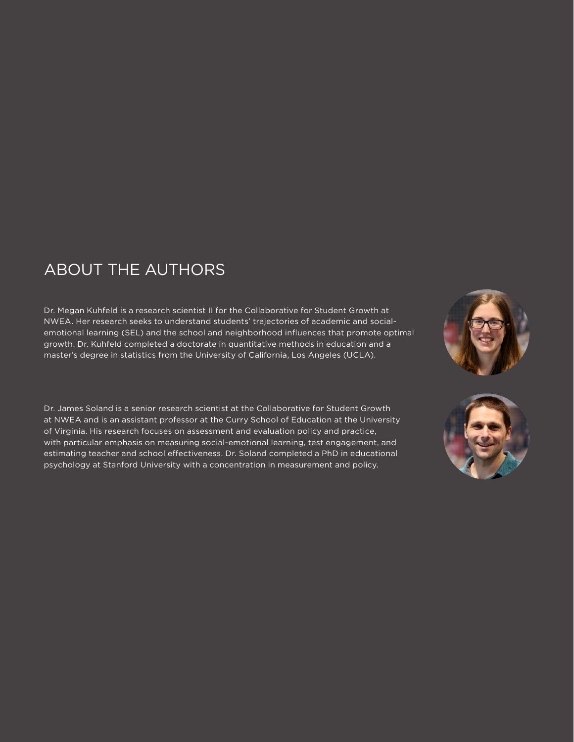# ABOUT THE AUTHORS

Dr. Megan Kuhfeld is a research scientist II for the Collaborative for Student Growth at NWEA. Her research seeks to understand students' trajectories of academic and socialemotional learning (SEL) and the school and neighborhood influences that promote optimal growth. Dr. Kuhfeld completed a doctorate in quantitative methods in education and a master's degree in statistics from the University of California, Los Angeles (UCLA).

Dr. James Soland is a senior research scientist at the Collaborative for Student Growth at NWEA and is an assistant professor at the Curry School of Education at the University of Virginia. His research focuses on assessment and evaluation policy and practice, with particular emphasis on measuring social-emotional learning, test engagement, and estimating teacher and school effectiveness. Dr. Soland completed a PhD in educational psychology at Stanford University with a concentration in measurement and policy.